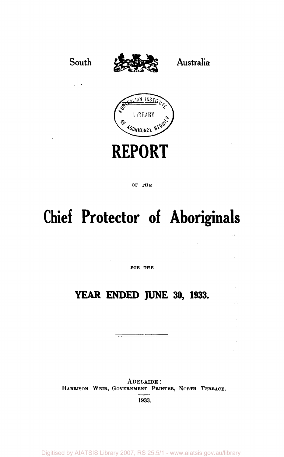

#### OF THE

# **Chief Protector of Aboriginals**

FOR THE

### **YEAR ENDED JUNE 30, 1933.**

¢

- 5

ADELAIDE : HARRISON WEIR, GOVERNMENT PRINTER, NORTH TERRACE, 1933.

Digitised by AIATSIS Library 2007, RS 25.5/1 - www.aiatsis.gov.au/library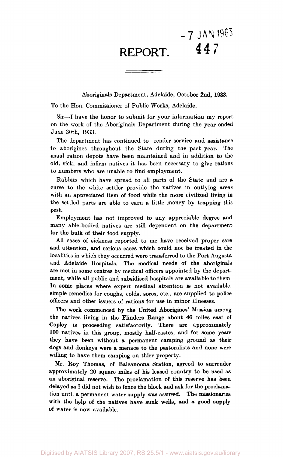## **-7 JAN 1963 REPORT. 4 4 7**

Aboriginals Department, Adelaide, October 2nd, 1933.

To the Hon. Commissioner of Public Works, Adelaide.

Sir—I have the honor to submit for your information my report on the work of the Aboriginals Department during the year ended June 30th, 1933.

The department has continued to render service and assistance to aborigines throughout the State during the past year. The usual ration depots have been maintained and in addition to the old, sick, and infirm natives it has been necessary to give rations to numbers who are unable to find employment.

Rabbits which have spread to all parts of the State and are a curse to the white settler provide the natives in outlying areas with an appreciated item of food while the more civilized living in the settled parts are able to earn a little money by trapping this pest.

Employment has not improved to any appreciable degree and many able-bodied natives are still dependent on the department for the bulk of their food supply.

All cases of sickness reported to me have received proper care and attention, and serious cases which could not be treated in the localities in which they occurred were transferred to the Port Augusta and Adelaide Hospitals. The medical needs of the aboriginals are met in some centres by medical officers appointed by the department, while all public and subsidised hospitals are available to them. In some places where expert medical attention is not available, simple remedies for coughs, colds, sores, etc., are supplied to police officers and other issuers of rations for use in minor illnesses.

The work commenced by the United Aborigines' Mission among the natives living in the Flinders Range about 40 miles east of Copley is proceeding satisfactorily. There are approximately 100 natives in this group, mostly half-castes, and for some years they have been without a permanent camping ground as their dogs and donkeys were a menace to the pastoralists and none were willing to have them camping on thier property.

Mr. Roy Thomas, of Balcanoona Station, agreed to surrender approximately 20 square miles of his leased country to be used as an aboriginal reserve. The proclamation of this reserve has been delayed as I did not wish to fence the block and ask for the proclamation until a permanent water supply was assured. The missionaries with the help of the natives have sunk wells, and a good supply of water is now available.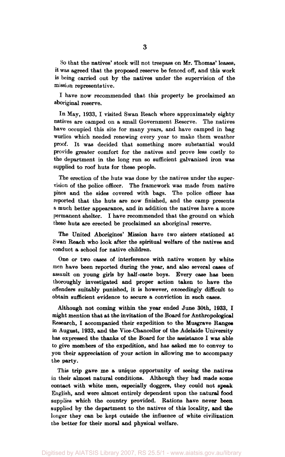So that the natives' stock will not trespass on Mr. Thomas' leases, it was agreed that the proposed reserve be fenced off, and this work is being carried out by the natives under the supervision of the mission representative.

I have now recommended that this property be proclaimed an aboriginal reserve.

In May, 1933, I visited Swan Reach where approximately eighty natives are camped on a small Government Reserve. The natives have occupied this site for many years, and have camped in bag wurlies which needed renewing every year to make them weather proof. It was decided that something more substantial would provide greater comfort for the natives and prove less costly to the department in the long run so sufficient galvanized iron was supplied to roof huts for these people.

The erection of the huts was done by the natives under the supervision of the police officer. The framework was made from native pines and the sides covered with bags. The police officer has reported that the huts are now finished, and the camp presents a much better appearance, and in addition the natives have a more permanent shelter. I have recommended that the ground on which these huts are erected be proclaimed an aboriginal reserve.

The United Aborigines' Mission have two sisters stationed at Swan Reach who look after the spiritual welfare of the natives and conduct a school for native children.

One or two cases of interference with native women by white men have been reported during the year, and also several cases of assault on young girls by half-caste boys. Every case has been thoroughly investigated and proper action taken to have the offenders suitably punished, it is however, exceedingly difficult to obtain sufficient evidence to secure a conviction in such cases.

Although not coming within the year ended June 30th, 1933, I might mention that at the invitation of the Board for Anthropological Research, I accompanied their expedition to the Musgrave Ranges in August, 1933, and the Vice-Chancellor of the Adelaide University has expressed the thanks of the Board for the assistance I was able to give members of the expedition, and has asked me to convey to you their appreciation of your action in allowing me to accompany the party.

This trip gave me a unique opportunity of seeing the natives in their almost natural conditions. Although they had made some contact with white men, especially doggers, they could not speak English, and were almost entirely dependent upon the natural food supplies which the country provided. Rations have never been supplied by the department to the natives of this locality, and the longer they can be kept outside the influence of white civilization the better for their moral and physical welfare.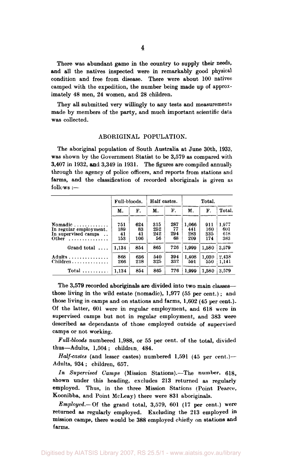There was abundant game in the country to supply their needs, and all the natives inspected were in remarkably good physical condition and free from disease. There were about 100 nativescamped with the expedition, the number being made up of approximately 48 men, 24 women, and 28 children.

They all submitted very willingly to any tests and measurements made by members of the party, and much important scientific data was collected.

#### ABORIGINAL POPULATION.

The aboriginal population of South Australia at June 30th, 1933, was shown by the Government Statist to be 3,579 as compared with 3,407 in 1932, and 3,349 in 1931. The figures are compiled annually through the agency of police officers, and reports from stations and farms, and the classification of recorded aboriginals is given as follows :—

|                                                                                                     |                         | Full-bloods.           |                         | Half castes.           |                            | Total.                   |                            |  |  |
|-----------------------------------------------------------------------------------------------------|-------------------------|------------------------|-------------------------|------------------------|----------------------------|--------------------------|----------------------------|--|--|
|                                                                                                     | М.                      | F.                     | М.                      | F.                     | М.                         | F.                       | Total.                     |  |  |
| Nomadic $\ldots$<br>In regular employment.<br>In supervised camps<br>$\cdot$ .<br><b>Other</b><br>. | 751<br>189<br>41<br>153 | 624<br>83<br>41<br>106 | 315<br>252<br>242<br>56 | 287<br>77<br>294<br>68 | 1,066<br>441<br>283<br>209 | 911<br>160<br>335<br>174 | 1,977<br>601<br>618<br>383 |  |  |
| Grand total                                                                                         | 1.134                   | 854                    | 865                     | 726                    | 1,999                      | 1,580                    | 3,579                      |  |  |
| Adults<br>Children                                                                                  | 868<br>266              | 636<br>218             | 540<br>325              | 394<br>332             | 1.408<br>591               | 1,030<br>550             | 2,438<br>1,141             |  |  |
| Total $\ldots \ldots \ldots$                                                                        | 1.134                   | 854                    | 865                     | 726                    | 1.999                      | 1,580                    | 3,579                      |  |  |

The 3,579 recorded aboriginals are divided into two main classes those living in the wild estate (nomadic), 1,977 (55 per cent.); and those living in camps and on stations and farms, 1,602 (45 per cent.)- Of the latter, 601 were in regular employment, and 618 were in supervised camps but not in regular employment, and 383 were described as dependants of those employed outside of supervised camps or not working.

*Full-bloods* numbered 1,988, or 55 per cent, of the total, divided thus—Adults, 1,504; children, 484.

*Half-castes* (and lesser castes) numbered 1,591 (45 per cent.)— Adults, 934 ; children, 657.

*In Supervised Camps* (Mission Stations).—The number. 618, shown under this heading, excludes 213 returned as regularly employed. Thus, in the three Mission Stations (Point Pearce, Koonibba, and Point McLeay) there were 831 aboriginals.

*Employed.—* Of the grand total, 3,579, 601 (17 per cent.) were returned as regularly employed. Excluding the 213 employed in mission camps, there would be 388 employed chiefly on stations and farms.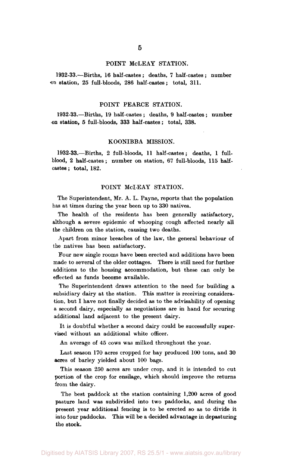#### POINT MCLEAY STATION.

1932-33.—Births, 16 half-castes ; deaths, 7 half-castes ; number on station, 25 full-bloods, 286 half-castes; total, 311.

#### POINT PEARCE STATION.

1932-33.—Births, 19 half-castes ; deaths, 9 half-castes ; number on station, 5 full-bloods, 333 half-castes; total, 338.

#### KOONIBBA MISSION.

1932-33.—Births, 2 full-bloods, 11 half-castes; deaths, 1 fullblood, 2 half-castes; number on station, 67 full-bloods, 115 halfcastes ; total, 182.

#### POINT McLEAY STATION.

The Superintendent, Mr. A. L. Payne, reports that the population has at times during the year been up to 330 natives.

The health of the residents has been generally satisfactory, although a severe epidemic of whooping cough affected nearly all the children on the station, causing two deaths.

Apart from minor breaches of the law, the general behaviour of the natives has been satisfactory.

Four new single rooms have been erected and additions have been made to several of the older cottages. There is still need for further additions to the housing accommodation, but these can only be effected as funds become available.

The Superintendent draws attention to the need for building a subsidiary dairy at the station. This matter is receiving consideration, but I have not finally decided as to the advisability of opening a second dairy, especially as negotiations are in hand for securing additional land adjacent to the present dairy.

It is doubtful whether a second dairy could be successfully supervised without an additional white officer.

An average of 45 cows was milked throughout the year.

Last season 170 acres cropped for hay produced 100 tons, and 30 acres of barley yielded about 100 bags.

This season 250 acres are under crop, and it is intended to cut portion of the crop for ensilage, which should improve the returns from the dairy.

The best paddock at the station containing 1,200 acres of good pasture land was subdivided into two paddocks, and during the present year additional fencing is to be erected so as to divide it into four paddocks. This will be a decided advantage in depasturing the stock.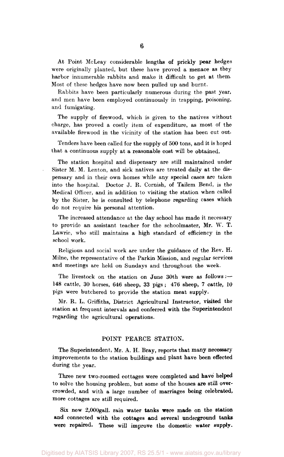At Point McLeay considerable lengths of prickly pear hedges were originally planted, but these have proved a menace as they harbor innumerable rabbits and make it difficult to get at them. Most of these hedges have now been pulled up and burnt.

Rabbits have been particularly numerous during the past year, and men have been employed continuously in trapping, poisoning. and fumigating.

The supply of firewood, which is given to the natives without charge, has proved a costly item of expenditure, as most of the available firewood in the vicinity of the station has been cut out-

Tenders have been called for the supply of 500 tons, and it is hoped that a continuous supply at a reasonable cost will be obtained.

The station hospital and dispensary are still maintained under Sister M. M. Lenton, and sick natives are treated daily at the dispensary and in their own homes while any special cases are taken into the hospital. Doctor J. R. Cornish, of Tailem Bend, is the Medical Officer, and in addition to visiting the station when called by the Sister, he is consulted by telephone regarding cases which do not require his personal attention.

The increased attendance at the day school has made it necessary to provide an assistant teacher for the schoolmaster, Mr. W. T. Lawrie, who still maintains a high standard of efficiency in the school work.

Religious and social work are under the guidance of the Rev. H. Milne, the representative of the Parkin Mission, and regular services and meetings are held on Sundays and throughout the week.

The livestock on the station on June 30th were as follows :— 148 cattle, 30 horses, 646 sheep, 33 pigs ; 476 sheep, 7 cattle, *10*  pigs were butchered to provide the station meat supply.

Mr. R. L. Griffiths, District Agricultural Instructor, visited the station at frequent intervals and conferred with the Superintendent regarding the agricultural operations.

#### POINT PEARCE STATION.

The Superintendent, Mr. A. H. Bray, reports that many necessary improvements to the station buildings and plant have been effected during the year.

Three new two-roomed cottages were completed and have helped to solve the housing problem, but some of the houses are still overcrowded, and with a large number of marriages being celebrated, more cottages are still required.

Six new 2,000gall. rain water tanks were made on the station and connected with the cottages and several underground tanks were repaired. These will improve the domestic water supply.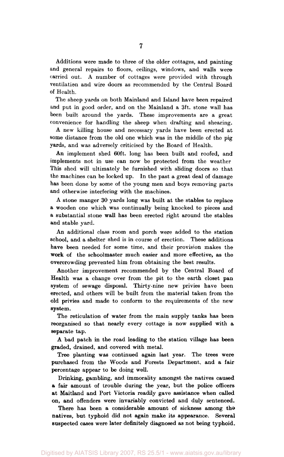Additions were made to three of the older cottages, and painting and general repairs to floors, ceilings, windows, and walls were carried out. A number of cottages were provided with through ventilation and wire doors as recommended by the Central Board of Health.

The sheep yards on both Mainland and Island have been repaired and put in good order, and on the Mainland a 3ft. stone wall has been built around the yards. These improvements are a great convenience for handling the sheep when drafting and shearing.

A new killing house and necessary yards have been erected at some distance from the old one which was in the middle of the pig yards, and was adversely criticised by the Board of Health.

An implement shed 60ft. long has been built and roofed, and implements not in use can now be protected from the weather This shed will ultimately be furnished with sliding doors so that the machines can be locked up. In the past a great deal of damage has been done by some of the young men and boys removing parts and otherwise interfering with the machines.

A stone manger 30 yards long was built at the stables to replace a wooden one which was continually being knocked to pieces and a substantial stone wall has been erected right around the stables and stable yard.

An additional class room and porch were added to the station school, and a shelter shed is in course of erection. These additions have been needed for some time, and their provision makes the work of the schoolmaster much easier and more effective, as the overcrowding prevented him from obtaining the best results.

Another improvement recommended by the Central Board of Health was a change over from the pit to the earth closet pan system of sewage disposal. Thirty-nine new privies have been erected, and others will be built from the material taken from the old privies and made to conform to the requirements of the new system.

The reticulation of water from the main supply tanks has been reorganised so that nearly every cottage is now supplied with a separate tap.

A bad patch in the road leading to the station village has been graded, drained, and covered with metal.

Tree planting was continued again last year. The trees were purchased from the Woods and Forests Department, and a fair percentage appear to be doing well.

Drinking, gambling, and immorality amongst the natives caused a fair amount of trouble during the year, but the police officers at Maitland and Port Victoria readily gave assistance when called on, and offenders were invariably convicted and duly sentenced.

There has been a considerable amount of sickness among the natives, but typhoid did not again make its appearance. Several suspected cases were later definitely diagnosed as not being typhoid.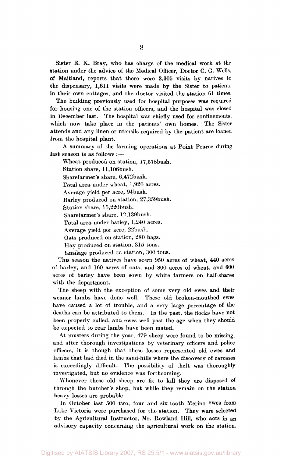Sister E. K. Bray, who has charge of the medical work at the station under the advice of the Medical Officer, Doctor C. G. Wells, of Maitland, reports that there were 3,305 visits by natives to the dispensary, 1,611 visits were made by the Sister to patients in their own cottages, and the doctor visited the station 61 times.

The building previously used for hospital purposes was required for housing one of the station officers, and the hospital was closed in December last. The hospital was chiefly used for confinements, which now take place in the patients' own homes. The Sister attends and any linen or utensils required by the patient are loaned from the hospital plant.

A summary of the farming operations at Point Pearce during last season is as follows :—

Wheat produced on station, 17,578bush.

Station share, ll,106bush.

Sharefarmer's share, 6,472bush.

Total area under wheat, 1,920 acres.

Average yield per acre,  $9\frac{1}{6}$ bush.

Barley produced on station, 27,359bush.

Station share, 15,220bush.

Sharefarmer's share, 12,139bush.

Total area under barley, 1,240 acres.

Average yield per acre, 22bush.

Oats produced on station, 280 bags.

Hay produced on station, 315 tons.

Ensilage produced on station, 300 tons.

This season the natives have sown 950 acres of wheat, 440 acres of barley, and 160 acres of oats, and 800 acres of wheat, and 600 acres of barley have been sown by white farmers on half-shares with the department.

The sheep with the exception of some very old ewes and their weaner lambs have done well. These old broken-mouthed ewes have caused a lot of trouble, and a very large percentage of the deaths can be attributed to them. In the past, the flocks have not been properly culled, and ewes well past the age when they should be expected to rear lambs have been mated.

At musters during the year, 479 sheep were found to be missing, and after thorough investigations by veterinary officers and police officers, it is though that these losses represented old ewes and lambs that had died in the sand-hills where the discovery of carcases is exceedingly difficult. The possibility of theft was thoroughly investigated, but no evidence was forthcoming.

Whenever these old sheep are fit to kill they are disposed of through the butcher's shop, but while they remain on the station heavy losses are probable.

In October last 500 two, four and six-tooth Merino ewes from Lake Victoria were purchased for the station. They were selected by the Agricultural Instructor, Mr. Rowland Hill, who acts in an advisory capacity concerning the agricultural work on the station.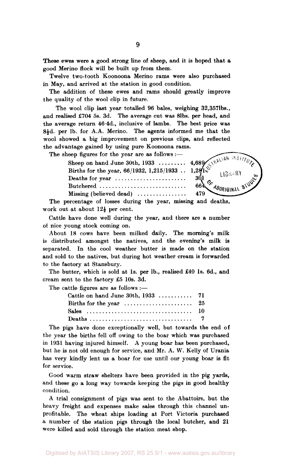These ewes were a good strong line of sheep, and it is hoped that a good Merino flock will be built up from them.

Twelve two-tooth Koonoona Merino rams were also purchased in May, and arrived at the station in good condition.

The addition of these ewes and rams should greatly improve the quality of the wool clip in future.

The wool clip last year totalled 96 bales, weighing 32,3571bs., and realised £704 5s. 3d. The average cut was 81bs. per head, and the average return 46.4d., inclusive of lambs. The best price was 8<sup>1</sup>d. per lb. for A.A. Merino. The agents informed me that the wool showed a big improvement on previous clips, and reflected the advantage gained by using pure Koonoona rams.

The sheep figures for the year are as follows :—

Sheep on hand June 30th,  $1933$  ........ 4,689/ Births for the year, 66/1932, 1,215/1933 . . 1,281. Deaths for year  $\dots\dots\dots\dots\dots\dots\dots$  30.1 Butchered  $\cdots$   $664\frac{64}{160R}$   $68\frac{64}{160R}$   $68\frac{64}{160R}$ 

LIBRARY

 $\frac{1}{2}$   $\frac{1}{2}$   $\frac{1}{2}$   $\frac{1}{2}$   $\frac{1}{2}$   $\frac{1}{2}$   $\frac{1}{2}$   $\frac{1}{2}$   $\frac{1}{2}$   $\frac{1}{2}$   $\frac{1}{2}$   $\frac{1}{2}$   $\frac{1}{2}$   $\frac{1}{2}$   $\frac{1}{2}$   $\frac{1}{2}$   $\frac{1}{2}$   $\frac{1}{2}$   $\frac{1}{2}$   $\frac{1}{2}$   $\frac{1}{2}$   $\frac{1}{2}$  The percentage of losses during the year, missing and deaths, work out at about  $12\frac{1}{2}$  per cent.

Cattle have done well during the year, and there are a number of nice young stock coming on.

About 18 cows have been milked daily. The morning's milk is distributed amongst the natives, and the evening's milk is separated. In the cool weather butter is made on the station and sold to the natives, but during hot weather cream is forwarded to the factory at Stansbury.

The butter, which is sold at 1s. per lb., realised £40 1s. 6d., and cream sent to the factory £5 10s. 3d.

The cattle figures are as follows :—

| Births for the year $\ldots \ldots \ldots \ldots \ldots \ldots$ 25 |  |
|--------------------------------------------------------------------|--|
|                                                                    |  |
|                                                                    |  |

The pigs have done exceptionally well, but towards the end of the year the births fell off owing to the boar which was purchased in 1931 having injured himself. A young boar has been purchased, but he is not old enough for service, and Mr. A. W. Kelly of Urania has very kindly lent us a boar for use until our young boar is fit for service.

Good warm straw shelters have been provided in the pig yards, and these go a long way towards keeping the pigs in good healthy condition.

A trial consignment of pigs was sent to the Abattoirs, but the heavy freight and expenses make sales through this channel unprofitable. The wheat ships loading at Port Victoria purchased a number of the station pigs through the local butcher, and 21 were killed and sold through the station meat shop.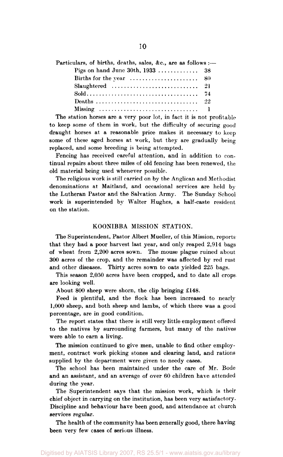| Particulars, of births, deaths, sales, &c., are as follows :-      |  |
|--------------------------------------------------------------------|--|
|                                                                    |  |
| Births for the year $\ldots \ldots \ldots \ldots \ldots \ldots$ 80 |  |
|                                                                    |  |
|                                                                    |  |
|                                                                    |  |
|                                                                    |  |

The station horses are a very poor lot, in fact it is not profitable to keep some of them in work, but the difficulty of securing good draught horses at a reasonable price makes it necessary to keep some of these aged horses at work, but they are gradually being replaced, and some breeding is being attempted.

Fencing has received careful attention, and in addition to continual repairs about three miles of old fencing has been renewed, the old material being used whenever possible.

The religious work is still carried on by the Anglican and Methodist denominations at Maitland, and occasional services are held by the Lutheran Pastor and the Salvation Army. The Sunday School work is superintended by Walter Hughes, a half-caste resident on the station.

#### KOONIBBA MISSION STATION.

The Superintendent, Pastor Albert Mueller, of this Mission, reports that they had a poor harvest last year, and only reaped 2,914 bags of wheat from 2,200 acres sown. The mouse plague ruined about 300 acres of the crop, and the remainder was affected by red rust and other diseases. Thirty acres sown to oats yielded 225 bags.

This season 2,050 acres have been cropped, and to date all crops are looking well.

About 800 sheep were shorn, the clip bringing £148.

Feed is plentiful, and the flock has been increased to nearly 1,000 sheep, and both sheep and lambs, of which there was a good percentage, are in good condition.

The report states that there is still very little employment offered to the natives by surrounding farmers, but many of the natives were able to earn a living.

The mission continued to give men, unable to find other employment, contract work picking stones and clearing land, and rations supplied by the department were given to needy cases.

The school has been maintained under the care of Mr. Bode and an assistant, and an average of over 60 children have attended during the year.

The Superintendent says that the mission work, which is their chief object in carrying on the institution, has been very satisfactory. Discipline and behaviour have been good, and attendance at church services regular.

The health of the community has been generally good, there having been very few cases of serious illness.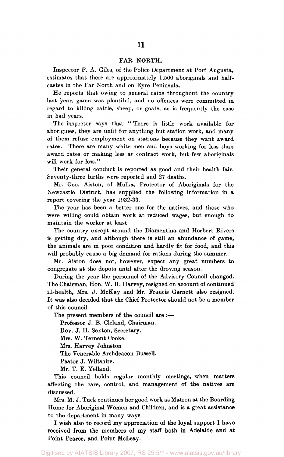#### FAR NORTH.

Inspector P. A. Giles, of the Police Department at Port Augusta, estimates that there are approximately 1,500 aboriginals and halfcastes in the Far North and on Eyre Peninsula.

He reports that owing to general rains throughout the country last year, game was plentiful, and no offences were committed in regard to killing cattle, sheep, or goats, as is frequently the case in bad years.

The inspector says that " There is little work available for aborigines, they are unfit for anything but station work, and many of them refuse employment on stations because they want award rates. There are many white men and boys working for less than award rates or making less at contract work, but few aboriginals will work for less."

Their general conduct is reported as good and their health fair. Seventy-three births were reported and 27 deaths.

Mr. Geo. Aiston, of Mulka, Protector of Aboriginals for the Newcastle District, has supplied the following information in a report covering the year 1932-33.

The year has been a better one for the natives, and those who were willing could obtain work at reduced wages, but enough to maintain the worker at least

The country except around the Diamentina and Herbert Rivers is getting dry, and although there is still an abundance of game, the animals are in poor condition and hardly fit for food, and this will probably cause a big demand for rations during the summer.

Mr. Aiston does not, however, expect any great numbers to congregate at the depots until after the droving season.

During the year the personnel of the Advisory Council changed. The Chairman, Hon. W. H. Harvey, resigned on account of continued ill-health, Mrs. J. McKay and Mr. Francis Garnett also resigned. It was also decided that the Chief Protector should not be a member of this council.

The present members of the council are :—

Professor J. B. Cleland, Chairman.

Rev. J. H. Sexton, Secretary.

Mrs. W. Ternent Cooke.

Mrs. Harvey Johnston

The Venerable Archdeacon Bussell.

Pastor J. Wiltshire.

Mr. T. E. Yelland.

This council holds regular monthly meetings, when matters affecting the care, control, and management of the natives are discussed.

Mrs. M. J. Tuck continues her good work as Matron at the Boarding Home for Aboriginal Women and Children, and is a great assistance to the department in many ways.

I wish also to record my appreciation of the loyal support I have received from the members of my staff both in Adelaide and at Point Pearce, and Point McLeay.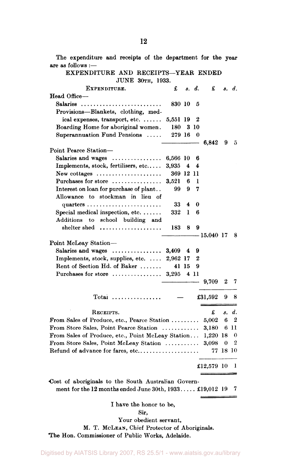The expenditure and receipts of the department for the year are as follows :— EXPENDITURE AND RECEIPTS—YEAR ENDED JUNE 30TH, 1933. EXPENDITURE. £ *s. d.* £ *s. d.*  Head Office— Salaries 830 10 5 Provisions—Blankets, clothing, medical expenses, transport, etc.  $\ldots \ldots 5,551$  19 2 Boarding Home for aboriginal women. 180 3 10 Superannuation Fund Pensions  $\ldots$  279 16 0  $\overline{a}$ 6,842 9 5 Point Pearce Station— Salaries and wages 6,566 10 6 Implements, stock, fertilisers, etc.....  $3.935 \quad 4 \quad 4$ New cottages  $\dots\dots\dots\dots\dots\dots\dots$  369 12 11 Purchases for store  $\dots\dots\dots\dots\dots$  3,521 6 1 Interest on loan for purchase of plant.. 99 9 7 Allowance to stockman in lieu of quarters  $\dots \dots \dots \dots \dots \dots \dots$  33 4 0 Special medical inspection, etc.  $\dots$  332 1 6 Additions to school building and shelter shed ..................... 183 8 9  $-15.040$  17 8 Point McLeay Station— Salaries and wages  $\dots\dots\dots\dots\dots$  3,409 4 9 Implements, stock, supplies, etc.  $\ldots$  2,962 17 2 Rent of Section Hd. of Baker  $\ldots$  41 15 9 Purchases for store  $\dots \dots \dots \dots$  3,295 4 11 9,709 2 7 Total  $\ldots$ ............  $-$  £31,592 9 8 RECEIPTS. £ *s. d.*  From Sales of Produce, etc., Pearce Station  $\dots \dots \dots$  5,002 6 2 From Store Sales, Point Pearce Station  $\dots\dots\dots\dots$  3,180 6 11 From Sales of Produce, etc., Point McLeay Station... 1,220 18 0 From Store Sales, Point McLeav Station  $\ldots$   $\ldots$  3,098 0 2 Refund of advance for fares, etc 77 18 10 £12,579 10 1 •Cost of aboriginals to the South Australian Government for the 12 months ended June  $30th, 1933...$   $\ldots$  £19,012 19 7

I have the honor to be,

Sir,

Your obedient servant,

M. T. MCLEAN, Chief Protector of Aboriginals.

The Hon. Commissioner of Public Works, Adelaide.

#### Digitised by AIATSIS Library 2007, RS 25.5/1 - www.aiatsis.gov.au/library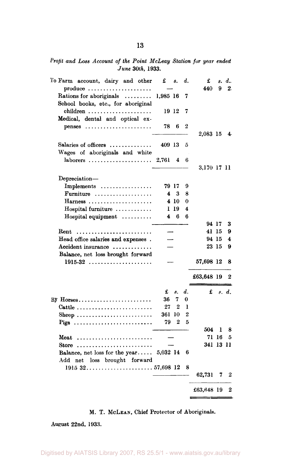*Profit and Loss Account of the Point McLeay Station for year ended June 30th,* 1933.

| To Farm account, dairy and other                                  | £          | 8.               | d.             | £           |                | s. d.            |
|-------------------------------------------------------------------|------------|------------------|----------------|-------------|----------------|------------------|
| $produce \dots \dots \dots \dots \dots \dots \dots$               |            |                  |                | 440         | 9              | 2.               |
| Rations for aboriginals                                           | 1,985 16   |                  | 7              |             |                |                  |
| School books, etc., for aboriginal                                |            |                  |                |             |                |                  |
| children                                                          | 19 12      |                  | 7              |             |                |                  |
| Medical, dental and optical ex-                                   |            |                  |                |             |                |                  |
| penses                                                            | 78         | 6                | 2              |             |                |                  |
|                                                                   |            |                  |                | 2,083 15    |                | $\ddot{\bullet}$ |
| Salaries of officers                                              | 409 13     |                  | 5              |             |                |                  |
| Wages of aboriginals and white                                    |            |                  |                |             |                |                  |
| $laborers$                                                        | 2,761      | 4                | 6              |             |                |                  |
|                                                                   |            |                  |                | 3,170 17 11 |                |                  |
|                                                                   |            |                  |                |             |                |                  |
| Depreciation-                                                     |            |                  |                |             |                |                  |
| Implements<br>Furniture                                           | 79 17<br>4 | 3                | 9<br>8         |             |                |                  |
| Harness                                                           |            | 4 10             | 0              |             |                |                  |
|                                                                   |            | 1 19             | 4              |             |                |                  |
| Hospital furniture<br>$Hospital$ equipment $\ldots \ldots \ldots$ | 4          | 6                | 6              |             |                |                  |
|                                                                   |            |                  |                | 94 17       |                | 3                |
| Rent                                                              |            |                  |                | 41 15       |                | 9                |
| Head office salaries and expenses.                                |            |                  |                | 94 15       |                | 4                |
| Accident insurance                                                |            |                  |                |             | 23 15          | 9                |
| Balance, net loss brought forward                                 |            |                  |                |             |                |                  |
| 1915-32                                                           |            |                  |                | 57,698 12   |                | 8                |
|                                                                   |            |                  |                |             |                |                  |
|                                                                   |            |                  |                | £63,648 19  |                | 2                |
|                                                                   |            |                  |                |             |                |                  |
|                                                                   | £          | 8.               | d.             |             | $\pounds$ e.d. |                  |
| By Horses                                                         | 36         | 7                | 0              |             |                |                  |
| Cattle                                                            | 27         | 2                | 1              |             |                |                  |
| Sheep                                                             | 361        | 10               | $\overline{2}$ |             |                |                  |
|                                                                   | 79         | $\boldsymbol{2}$ | 5              |             |                |                  |
|                                                                   |            |                  |                | 504         | 1              | 8                |
| Meat                                                              |            |                  |                |             | 71 16          | 5                |
| Store                                                             |            |                  |                | 341 13 11   |                |                  |
| Balance, net loss for the year $5,032$ 14                         |            |                  | 6              |             |                |                  |
| Add net loss brought forward                                      |            |                  |                |             |                |                  |
|                                                                   |            |                  | 8              |             |                |                  |
|                                                                   |            |                  |                | 62,731      | 7              | 2                |
|                                                                   |            |                  |                |             |                |                  |
|                                                                   |            |                  |                | £63,648 19  |                | $\boldsymbol{2}$ |
|                                                                   |            |                  |                |             |                |                  |

#### M. T. MCLEAN, Chief Protector of Aboriginals.

August 22nd, 1933.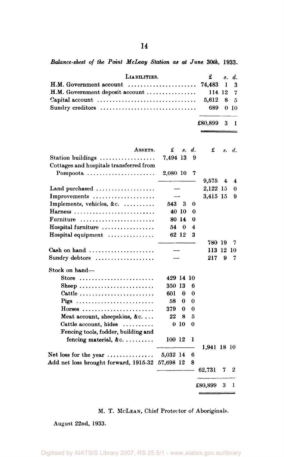*Balance-sheet of the Point McLeay Station as at June 30th,* 1933.

| LIABILITIES.                               | $\mathbf{f}$ s.d. |  |
|--------------------------------------------|-------------------|--|
|                                            |                   |  |
| $H.M. Goverment$ deposit account  114 12 7 |                   |  |
|                                            |                   |  |
|                                            | 689 0 10          |  |

 $\overline{a}$ 

£80,899 3 1

 $\frac{1}{2}$ 

L

| ASSETS.                                                  | £         | 8.    | d.       | £           | s. | d.                  |
|----------------------------------------------------------|-----------|-------|----------|-------------|----|---------------------|
| Station buildings $\ldots$                               | 7,494 13  |       | 9        |             |    |                     |
| Cottages and hospitals transferred from                  |           |       |          |             |    |                     |
| Pompoota                                                 | 2,080 10  |       | 7        |             |    |                     |
|                                                          |           |       |          | 9,575       | 4  | $\overline{\bf{4}}$ |
| Land purchased $\ldots$                                  |           |       |          | 2,122 15    |    | $\bf{0}$            |
| Improvements                                             |           |       |          | 3,415 15    |    | 9                   |
| Implements, vehicles, &c.                                | 543 3     |       | 0        |             |    |                     |
| Harness                                                  |           | 40 10 | 0        |             |    |                     |
| Furniture                                                |           | 80 14 | 0        |             |    |                     |
| Hospital furniture                                       | 54        | - 0   | 4        |             |    |                     |
| Hospital equipment                                       |           | 62 12 | 3        |             |    |                     |
|                                                          |           |       |          | 780 19      |    | 7                   |
| Cash on hand $\ldots \ldots \ldots \ldots \ldots \ldots$ |           |       |          | 113 12      |    | 10                  |
| Sundry debtors                                           |           |       | 217      | 9           | 7  |                     |
| Stock on hand-                                           |           |       |          |             |    |                     |
| Store $\ldots \ldots \ldots \ldots \ldots \ldots \ldots$ | 429 14 10 |       |          |             |    |                     |
| Sheep                                                    | 350 13    |       | 6        |             |    |                     |
| Cattle                                                   | 601       | 0     | 0        |             |    |                     |
| Pigs                                                     | 58        | 0     | 0        |             |    |                     |
| $H$ orses                                                | 379       | 0     | $\bf{0}$ |             |    |                     |
| Meat account, sheepskins, &c                             | 22        | 8     | 5        |             |    |                     |
| Cattle account, hides                                    | $\bf{0}$  | -10   | $\bf{0}$ |             |    |                     |
| Fencing tools, fodder, building and                      |           |       |          |             |    |                     |
| fencing material, $\&c. \ldots \ldots$                   | 100 12    |       | 1        |             |    |                     |
|                                                          |           |       |          | 1,941 18 10 |    |                     |
| Net loss for the year $\dots\dots\dots\dots\dots$        | 5,032 14  |       | 6        |             |    |                     |
| Add net loss brought forward, 1915-32                    | 57,698 12 |       | 8        |             |    |                     |
|                                                          |           |       |          | 62,731      | 7  | 2                   |
|                                                          |           |       |          | £80,899     | 3  | 1                   |
|                                                          |           |       |          | ---         |    |                     |

#### M. T. MCLEAN, Chief Protector of Aboriginals.

August 22nd, 1933.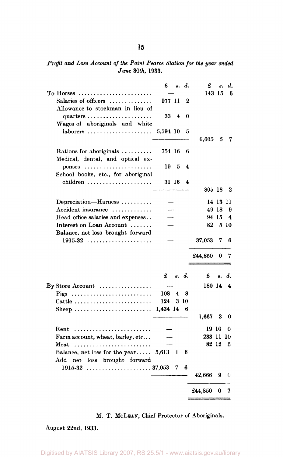#### *Profit and Loss Account of the Point Pearce Station for the year ended June* 30th, 1933.

|                                                   | £        | 8.    | d.    | £           | 8.       | d.   |
|---------------------------------------------------|----------|-------|-------|-------------|----------|------|
| To Horses                                         |          |       |       | 143 15      |          | 6    |
| Salaries of officers                              | 977 11   |       | 2     |             |          |      |
| Allowance to stockman in lieu of                  |          |       |       |             |          |      |
|                                                   |          |       |       |             |          |      |
| quarters $\ldots \ldots \ldots \ldots \ldots$     | 33       | 4     | 0     |             |          |      |
| Wages of aboriginals and white                    |          |       |       |             |          |      |
|                                                   | 5,594 10 |       | 5     |             |          |      |
|                                                   |          |       |       | $\,6.605\,$ | 5        | 7    |
|                                                   |          |       |       |             |          |      |
| Rations for aboriginals                           | 754 16   |       | 6     |             |          |      |
| Medical, dental, and optical ex-                  |          |       |       |             |          |      |
| $penses$                                          | 19       | 5     | 4     |             |          |      |
| School books, etc., for aboriginal                |          |       |       |             |          |      |
|                                                   |          |       |       |             |          |      |
| children                                          |          | 31 16 | 4     |             |          |      |
|                                                   |          |       |       | 805 18      |          | 2    |
| Depreciation-Harness                              |          |       |       |             | 14 13 11 |      |
|                                                   |          |       |       |             |          |      |
| Accident insurance                                |          |       |       |             | 49 18    | 9    |
| Head office salaries and expenses                 |          |       |       |             | 94 15    | 4    |
| Interest on Loan Account                          |          |       |       | 82          |          | 5 10 |
| Balance, net loss brought forward                 |          |       |       |             |          |      |
| $1915-32$                                         |          |       |       | 37,053      | 7        | 6    |
|                                                   |          |       |       |             |          |      |
|                                                   |          |       |       | £44,850     | 0        | 7    |
|                                                   |          |       |       |             |          |      |
|                                                   |          |       |       |             |          |      |
|                                                   | £        |       | s. d. | £           | 8.       | d.   |
|                                                   |          |       |       |             |          |      |
| By Store Account $\dots\dots\dots\dots\dots\dots$ |          |       |       | 180 14      |          | 4    |
| Pigs                                              | 108      | 4     | 8     |             |          |      |
| Cattle                                            | 124      |       | 3 10  |             |          |      |
| Sheep                                             | 1,434 14 |       | 6     |             |          |      |
|                                                   |          |       |       | 1,667       | 3        | 0    |
|                                                   |          |       |       |             |          |      |
| Rent                                              |          |       |       | 19 10       |          | 0    |
| Farm account, wheat, barley, etc                  |          |       |       | 233 11      |          | 10   |
| Meat                                              |          |       |       | 82 12       |          | 5    |
| Balance, net loss for the year                    | 5,613 1  |       | 6     |             |          |      |
|                                                   |          |       |       |             |          |      |
| Add net loss brought forward                      |          |       |       |             |          |      |
|                                                   |          | 7     | 6     |             |          |      |
|                                                   |          |       |       | 42,666      | 9        | 0    |
|                                                   |          |       |       |             |          |      |
|                                                   |          |       |       | £44,850     | 0        | 7    |
|                                                   |          |       |       |             |          |      |

#### M. T. MCLEAN, Chief Protector of Aboriginals.

August 22nd, 1933.